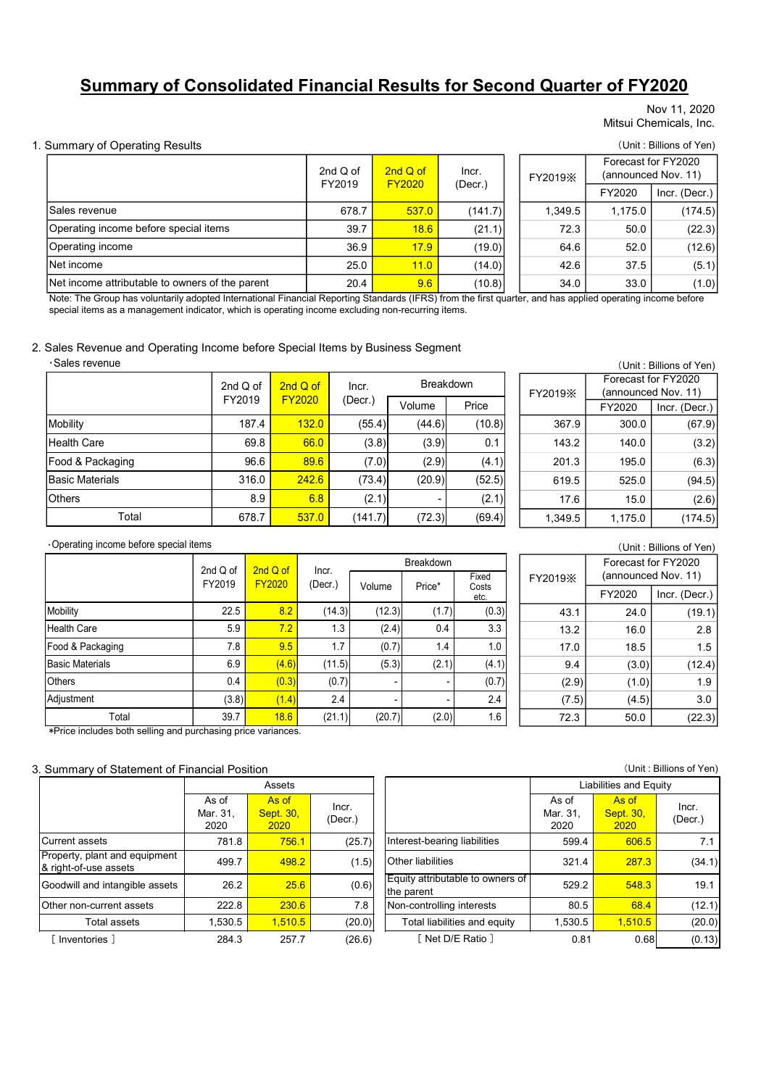# Summary of Consolidated Financial Results for Second Quarter of FY2020

#### Nov 11, 2020 Mitsui Chemicals, Inc.

#### 1. Summary of Operating Results (Unit : Billions of Yen)

|                                                                                               |                    |                           |                  |               |               |                  |         |                                            | Nov 11, 2020<br>Mitsui Chemicals, Inc.                                       |  |
|-----------------------------------------------------------------------------------------------|--------------------|---------------------------|------------------|---------------|---------------|------------------|---------|--------------------------------------------|------------------------------------------------------------------------------|--|
| <b>Summary of Operating Results</b>                                                           |                    |                           |                  |               |               |                  |         |                                            | (Unit: Billions of Yen)                                                      |  |
|                                                                                               |                    |                           |                  |               |               |                  |         |                                            |                                                                              |  |
|                                                                                               |                    |                           |                  | 2nd $Q$ of    | 2nd Q of      | Incr.            | FY2019X | Forecast for FY2020<br>(announced Nov. 11) |                                                                              |  |
|                                                                                               |                    |                           |                  | FY2019        | <b>FY2020</b> | (Decr.)          |         | FY2020                                     | Incr. (Decr.)                                                                |  |
| Sales revenue                                                                                 |                    |                           | 678.7            | 537.0         | (141.7)       | 1,349.5          | 1,175.0 | (174.5)                                    |                                                                              |  |
| Operating income before special items                                                         |                    |                           |                  | 39.7          | 18.6          | (21.1)           | 72.3    | 50.0                                       | (22.3)                                                                       |  |
| Operating income                                                                              |                    |                           |                  | 36.9          | 17.9          | (19.0)           | 64.6    | 52.0                                       | (12.6)                                                                       |  |
| Net income                                                                                    |                    |                           |                  | 25.0          | 11.0          | (14.0)           | 42.6    | 37.5                                       | (5.1)                                                                        |  |
| Net income attributable to owners of the parent                                               |                    |                           |                  | 20.4          | 9.6           | (10.8)           | 34.0    | 33.0                                       | (1.0)                                                                        |  |
|                                                                                               |                    |                           |                  |               |               |                  |         |                                            |                                                                              |  |
| Sales Revenue and Operating Income before Special Items by Business Segment<br>·Sales revenue | 2nd Q of           |                           | 2nd Q of         | Incr.         |               | <b>Breakdown</b> |         |                                            | (Unit: Billions of Yen)<br>Forecast for FY2020                               |  |
|                                                                                               | FY2019             |                           | <b>FY2020</b>    | $($ Decr. $)$ | Volume        | Price            | FY2019X |                                            | (announced Nov. 11)                                                          |  |
| Mobility                                                                                      |                    | 187.4                     | 132.0            | (55.4)        | (44.6)        | (10.8)           | 367.9   | FY2020<br>300.0                            | Incr. (Decr.)<br>(67.9)                                                      |  |
| <b>Health Care</b>                                                                            |                    | 69.8                      | 66.0             | (3.8)         | (3.9)         | 0.1              | 143.2   | 140.0                                      | (3.2)                                                                        |  |
| Food & Packaging                                                                              |                    | 96.6                      | 89.6             | (7.0)         | (2.9)         | (4.1)            | 201.3   | 195.0                                      | (6.3)                                                                        |  |
| <b>Basic Materials</b>                                                                        |                    | 316.0                     | 242.6            | (73.4)        | (20.9)        | (52.5)           | 619.5   | 525.0                                      |                                                                              |  |
| <b>Others</b>                                                                                 |                    | 8.9                       | 6.8              | (2.1)         |               | (2.1)            | 17.6    | 15.0                                       |                                                                              |  |
| Total                                                                                         |                    | 678.7                     | 537.0            | (141.7)       | (72.3)        | (69.4)           | 1,349.5 | 1,175.0                                    |                                                                              |  |
|                                                                                               |                    |                           |                  |               |               |                  |         |                                            |                                                                              |  |
| Operating income before special items                                                         |                    |                           |                  |               | Breakdown     |                  |         |                                            | Forecast for FY2020                                                          |  |
|                                                                                               | 2nd Q of<br>FY2019 | 2nd Q of<br><b>FY2020</b> | Incr.<br>(Decr.) | Volume        | Price*        | Fixed<br>Costs   | FY2019X |                                            | (94.5)<br>(2.6)<br>(174.5)<br>(Unit: Billions of Yen)<br>(announced Nov. 11) |  |

#### 2. Sales Revenue and Operating Income before Special Items by Business Segment

|                        | 2nd $Q$ of | 2nd Q of      | Incr.   | <b>Breakdown</b> | FY <sub>2</sub> |  |
|------------------------|------------|---------------|---------|------------------|-----------------|--|
|                        | FY2019     | <b>FY2020</b> | (Decr.) | Price<br>Volume  |                 |  |
| Mobility               | 187.4      | 132.0         | (55.4)  | (44.6)           | (10.8)          |  |
| <b>Health Care</b>     | 69.8       | 66.0          | (3.8)   | (3.9)            | 0.1             |  |
| Food & Packaging       | 96.6       | 89.6          | (7.0)   | (2.9)            | (4.1)           |  |
| <b>Basic Materials</b> | 316.0      | 242.6         | (73.4)  | (20.9)           | (52.5)          |  |
| <b>Others</b>          | 8.9        | 6.8           | (2.1)   |                  | (2.1)           |  |
| Total                  | 678.7      | 537.0         | (141.7) | (72.3)           | (69.4)          |  |

|       | (Unit: Billions of Yen) |  |         |                                            |               |  |  |  |  |  |  |
|-------|-------------------------|--|---------|--------------------------------------------|---------------|--|--|--|--|--|--|
|       | <b>Breakdown</b>        |  |         | Forecast for FY2020<br>(announced Nov. 11) |               |  |  |  |  |  |  |
|       |                         |  | FY2019X |                                            |               |  |  |  |  |  |  |
| me    | Price                   |  |         | FY2020                                     | Incr. (Decr.) |  |  |  |  |  |  |
| 44.6) | (10.8)                  |  | 367.9   | 300.0                                      | (67.9)        |  |  |  |  |  |  |
| (3.9) | 0.1                     |  | 143.2   | 140.0                                      | (3.2)         |  |  |  |  |  |  |
| (2.9) | (4.1)                   |  | 201.3   | 195.0                                      | (6.3)         |  |  |  |  |  |  |
| 20.9) | (52.5)                  |  | 619.5   | 525.0                                      | (94.5)        |  |  |  |  |  |  |
|       | (2.1)                   |  | 17.6    | 15.0                                       | (2.6)         |  |  |  |  |  |  |
| 72.3) | (69.4)                  |  | 1,349.5 | 1,175.0                                    | (174.5)       |  |  |  |  |  |  |

#### ・Operating income before special items

| Operating income                                                                                                                                                                                                                                                |                    |                    |                           | ວບ.ອ             | <u>17.9</u>                                    | (19.0)                       | <b>04.0</b>      | 32.U                            | (12.0)                                         |
|-----------------------------------------------------------------------------------------------------------------------------------------------------------------------------------------------------------------------------------------------------------------|--------------------|--------------------|---------------------------|------------------|------------------------------------------------|------------------------------|------------------|---------------------------------|------------------------------------------------|
| Net income                                                                                                                                                                                                                                                      |                    |                    |                           | 25.0             | 11.0                                           | (14.0)                       | 42.6             | 37.5                            | (5.1)                                          |
| Net income attributable to owners of the parent                                                                                                                                                                                                                 |                    |                    |                           | 20.4             | 9.6                                            | (10.8)                       | 34.0             | 33.0                            | (1.0)                                          |
| Note: The Group has voluntarily adopted International Financial Reporting Standards (IFRS) from the first quarter, and has applied operating income before<br>special items as a management indicator, which is operating income excluding non-recurring items. |                    |                    |                           |                  |                                                |                              |                  |                                 |                                                |
| Sales Revenue and Operating Income before Special Items by Business Segment                                                                                                                                                                                     |                    |                    |                           |                  |                                                |                              |                  |                                 |                                                |
| ·Sales revenue                                                                                                                                                                                                                                                  |                    |                    |                           |                  |                                                |                              |                  |                                 | (Unit: Billions of Yen)<br>Forecast for FY2020 |
|                                                                                                                                                                                                                                                                 | 2nd Q of           |                    | 2nd Q of<br><b>FY2020</b> | Incr.            | Breakdown                                      |                              | FY2019X          |                                 | (announced Nov. 11)                            |
|                                                                                                                                                                                                                                                                 | FY2019             |                    |                           | (Decr.)          | Volume                                         | Price                        |                  | FY2020                          | Incr. (Decr.)                                  |
| Mobility                                                                                                                                                                                                                                                        |                    | 187.4              | 132.0                     | (55.4)           | (44.6)                                         | (10.8)                       | 367.9            | 300.0                           | (67.9)                                         |
| Health Care                                                                                                                                                                                                                                                     |                    | 69.8               | 66.0                      | (3.8)            | (3.9)                                          | 0.1                          | 143.2            | 140.0                           | (3.2)                                          |
| Food & Packaging                                                                                                                                                                                                                                                |                    | 96.6               | 89.6                      | (7.0)            | (2.9)                                          | (4.1)                        | 201.3            | 195.0                           | (6.3)                                          |
| <b>Basic Materials</b>                                                                                                                                                                                                                                          |                    | 316.0              | 242.6                     | (73.4)           | (20.9)                                         | (52.5)                       | 619.5            | 525.0                           | (94.5)                                         |
| Others                                                                                                                                                                                                                                                          |                    | 8.9                | 6.8                       | (2.1)            |                                                | (2.1)                        | 17.6             | 15.0                            | (2.6)                                          |
| Total                                                                                                                                                                                                                                                           |                    | 678.7              | 537.0                     | (141.7)          | (72.3)                                         | (69.4)                       | 1,349.5          | 1,175.0                         | (174.5)                                        |
| Operating income before special items                                                                                                                                                                                                                           |                    |                    |                           |                  |                                                |                              |                  |                                 | (Unit: Billions of Yen)                        |
|                                                                                                                                                                                                                                                                 |                    |                    |                           |                  | Breakdown                                      |                              |                  |                                 | Forecast for FY2020                            |
|                                                                                                                                                                                                                                                                 | 2nd Q of<br>FY2019 | 2nd Q of<br>FY2020 | Incr.<br>(Decr.)          |                  | Price*                                         | Fixed                        | FY2019X          |                                 | (announced Nov. 11)                            |
|                                                                                                                                                                                                                                                                 |                    |                    |                           | Volume           |                                                | Costs<br>etc.                |                  | FY2020                          | Incr. (Decr.)                                  |
| Mobility                                                                                                                                                                                                                                                        | 22.5               | 8.2                |                           | (14.3)           | (12.3)<br>(1.7)                                | (0.3)                        | 43.1             | 24.0                            | (19.1)                                         |
| <b>Health Care</b>                                                                                                                                                                                                                                              | 5.9                | 7.2                |                           | 1.3              | (2.4)<br>0.4                                   | 3.3                          | 13.2             | 16.0                            | 2.8                                            |
| Food & Packaging                                                                                                                                                                                                                                                | $7.8$              | 9.5                |                           | 1.7              | (0.7)<br>1.4                                   | 1.0                          | 17.0             | 18.5                            | 1.5                                            |
| <b>Basic Materials</b>                                                                                                                                                                                                                                          | 6.9                | (4.6)              |                           | (11.5)           | (5.3)<br>(2.1)                                 | (4.1)                        | 9.4              | (3.0)                           | (12.4)                                         |
| Others                                                                                                                                                                                                                                                          | 0.4                | (0.3)              |                           | (0.7)            |                                                | (0.7)                        | (2.9)            | (1.0)                           | 1.9                                            |
| Adjustment                                                                                                                                                                                                                                                      | (3.8)              | (1.4)              |                           | 2.4              |                                                | 2.4                          | (7.5)            | (4.5)                           | 3.0                                            |
| Total<br>*Price includes both selling and purchasing price variances.                                                                                                                                                                                           | 39.7               | 18.6               |                           | (21.1)           | (20.7)<br>(2.0)                                | 1.6                          | 72.3             | 50.0                            | (22.3)                                         |
| Summary of Statement of Financial Position                                                                                                                                                                                                                      |                    |                    |                           |                  |                                                |                              |                  |                                 | (Unit: Billions of Yen)                        |
|                                                                                                                                                                                                                                                                 | As of              | Assets<br>As of    |                           |                  |                                                |                              | As of            | Liabilities and Equity<br>As of |                                                |
|                                                                                                                                                                                                                                                                 | Mar. 31,<br>2020   | Sept. 30,<br>2020  |                           | Incr.<br>(Decr.) |                                                |                              | Mar. 31,<br>2020 | Sept. 30,<br>2020               | Incr.<br>(Decr.)                               |
| Current assets                                                                                                                                                                                                                                                  | 781.8              |                    | 756.1                     | (25.7)           | Interest-bearing liabilities                   |                              | 599.4            | 606.5                           | 7.1                                            |
| Property, plant and equipment<br>& right-of-use assets                                                                                                                                                                                                          | 499.7              |                    | 498.2                     | (1.5)            | Other liabilities                              |                              | 321.4            | 287.3                           | (34.1)                                         |
| Goodwill and intangible assets                                                                                                                                                                                                                                  | 26.2               |                    | 25.6                      | (0.6)            | Equity attributable to owners of<br>the parent |                              | 529.2            | 548.3                           | 19.1                                           |
| Other non-current assets                                                                                                                                                                                                                                        | 222.8              |                    | 230.6                     | 7.8              | Non-controlling interests                      |                              | 80.5             | 68.4                            | (12.1)                                         |
| Total assets                                                                                                                                                                                                                                                    | 1,530.5            | 1,510.5            |                           | (20.0)           |                                                | Total liabilities and equity | 1,530.5          | 1,510.5                         | (20.0)                                         |
| [ Inventories ]                                                                                                                                                                                                                                                 | 284.3              |                    | 257.7                     | (26.6)           |                                                | [ Net D/E Ratio ]            | 0.81             | 0.68                            | (0.13)                                         |

#### 3. Summary of Statement of Financial Position

|                                                              | <b>LISOR</b>              | <u>FIZUZU</u>              | (Deci.)          | Volume | Price*                       | Costs<br>etc.                    |                           | FY2020                            | Incr. (Decr.)    |
|--------------------------------------------------------------|---------------------------|----------------------------|------------------|--------|------------------------------|----------------------------------|---------------------------|-----------------------------------|------------------|
| Mobility                                                     | 22.5                      | 8.2                        | (14.3)           | (12.3) | (1.7)                        | (0.3)                            | 43.1                      | 24.0                              | (19.1)           |
| <b>Health Care</b>                                           | 5.9                       | 7.2                        | 1.3              | (2.4)  | 0.4                          | 3.3                              | 13.2                      | 16.0                              | 2.8              |
| Food & Packaging                                             | 7.8                       | 9.5                        | 1.7              | (0.7)  | 1.4                          | 1.0                              | 17.0                      | 18.5                              | 1.5              |
| <b>Basic Materials</b>                                       | 6.9                       | (4.6)                      | (11.5)           | (5.3)  | (2.1)                        | (4.1)                            | 9.4                       | (3.0)                             | (12.4)           |
| Others                                                       | 0.4                       | (0.3)                      | (0.7)            |        |                              | (0.7)                            | (2.9)                     | (1.0)                             | 1.9              |
| Adjustment                                                   | (3.8)                     | (1.4)                      | 2.4              |        |                              | 2.4                              | (7.5)                     | (4.5)                             | 3.0              |
| Total                                                        | 39.7                      | 18.6                       | (21.1)           | (20.7) | (2.0)                        | 1.6                              | 72.3                      | 50.0                              | (22.3)           |
| *Price includes both selling and purchasing price variances. |                           |                            |                  |        |                              |                                  |                           |                                   |                  |
| Summary of Statement of Financial Position<br>Assets         |                           |                            |                  |        |                              | Liabilities and Equity           | (Unit: Billions of Yen)   |                                   |                  |
|                                                              | As of<br>Mar. 31,<br>2020 | As of<br>Sept. 30,<br>2020 | Incr.<br>(Decr.) |        |                              |                                  | As of<br>Mar. 31,<br>2020 | As of<br><b>Sept. 30,</b><br>2020 | Incr.<br>(Decr.) |
| Current assets                                               | 781.8                     | 756.1                      | (25.7)           |        | Interest-bearing liabilities |                                  | 599.4                     | 606.5                             | 7.1              |
| Property, plant and equipment<br>& right-of-use assets       | 499.7                     | 498.2                      | (1.5)            |        | Other liabilities            |                                  | 321.4                     | 287.3                             | (34.1)           |
| Goodwill and intangible assets                               | 26.2                      | 25.6                       | (0.6)            |        | the parent                   | Equity attributable to owners of | 529.2                     | 548.3                             | 19.1             |
| Other non-current assets                                     | 222.8                     | 230.6                      | 7.8              |        | Non-controlling interests    |                                  | 80.5                      | 68.4                              | (12.1)           |
|                                                              |                           |                            |                  |        |                              | Total liabilities and equity     | 1,530.5                   | 1,510.5                           | (20.0)           |
| Total assets                                                 | 1,530.5                   | 1,510.5                    | (20.0)           |        | [ Net D/E Ratio ]            |                                  |                           |                                   |                  |

(Unit : Billions of Yen)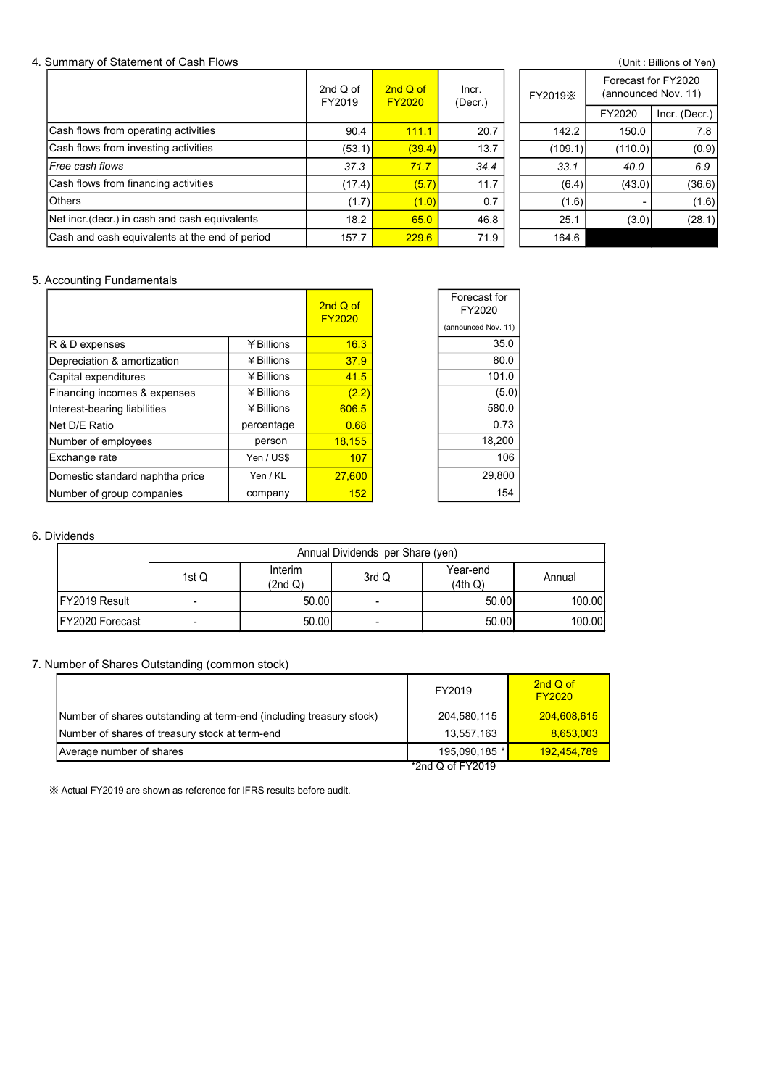#### 4. Summary of Statement of Cash Flows (Unit: Billions of Yen)

|                                                | 2nd $Q$ of<br>FY2019 | 2nd Q of<br>FY2020 | Incr.<br>(Decr.) | FY2019X |         | Forecast for FY2020<br>(announced Nov. 11) |  |
|------------------------------------------------|----------------------|--------------------|------------------|---------|---------|--------------------------------------------|--|
|                                                |                      |                    |                  |         | FY2020  | Incr. (Decr.)                              |  |
| Cash flows from operating activities           | 90.4                 | 111.1              | 20.7             | 142.2   | 150.0   | 7.8                                        |  |
| Cash flows from investing activities           | (53.1)               | (39.4)             | 13.7             | (109.1) | (110.0) | (0.9)                                      |  |
| l <i>Free cash flows</i>                       | 37.3                 | 71.7               | 34.4             | 33.1    | 40.0    | 6.9                                        |  |
| Cash flows from financing activities           | (17.4)               | (5.7)              | 11.7             | (6.4)   | (43.0)  | (36.6)                                     |  |
| lOthers                                        | (1.7)                | (1.0)              | 0.7              | (1.6)   |         | (1.6)                                      |  |
| Net incr (decr.) in cash and cash equivalents  | 18.2                 | 65.0               | 46.8             | 25.1    | (3.0)   | (28.1)                                     |  |
| Cash and cash equivalents at the end of period | 157.7                | 229.6              | 71.9             | 164.6   |         |                                            |  |

|         |                                            | (UTIIL. DIIIUTS UL TEIT) |  |  |  |  |
|---------|--------------------------------------------|--------------------------|--|--|--|--|
| FY2019X | Forecast for FY2020<br>(announced Nov. 11) |                          |  |  |  |  |
|         | FY2020                                     | Incr. (Decr.)            |  |  |  |  |
| 142.2   | 150.0                                      | 7.8                      |  |  |  |  |
| (109.1) | (110.0)                                    | (0.9)                    |  |  |  |  |
| 33.1    | 40.0                                       | 6.9                      |  |  |  |  |
| (6.4)   | (43.0)                                     | (36.6)                   |  |  |  |  |
| (1.6)   |                                            | (1.6)                    |  |  |  |  |
| 25.1    | (3.0                                       | (28.1)                   |  |  |  |  |
| 164 6   |                                            |                          |  |  |  |  |

#### 5. Accounting Fundamentals

|                                                                     |                |                    | 2nd Q of                         |                          | Forecast for<br>FY2020            |                           |
|---------------------------------------------------------------------|----------------|--------------------|----------------------------------|--------------------------|-----------------------------------|---------------------------|
|                                                                     |                |                    | <b>FY2020</b>                    |                          | (announced Nov. 11)               |                           |
| R & D expenses                                                      |                | ¥Billions          | 16.3                             |                          | 35.0                              |                           |
| Depreciation & amortization                                         |                | ¥ Billions         | 37.9                             |                          | 80.0                              |                           |
| Capital expenditures                                                |                | ¥ Billions         | 41.5                             |                          | 101.0                             |                           |
| Financing incomes & expenses                                        |                | ¥ Billions         | (2.2)                            |                          | (5.0)                             |                           |
| Interest-bearing liabilities                                        |                | ¥ Billions         | 606.5                            |                          | 580.0                             |                           |
| Net D/E Ratio                                                       |                | percentage         | 0.68                             |                          | 0.73                              |                           |
| Number of employees                                                 |                | person             | 18,155                           |                          | 18,200                            |                           |
| Exchange rate                                                       |                | Yen / US\$         | 107                              |                          | 106                               |                           |
| Domestic standard naphtha price                                     |                | Yen / KL           | 27,600                           |                          | 29,800                            |                           |
| Number of group companies                                           |                | company            | 152                              |                          | 154                               |                           |
| <b>Dividends</b>                                                    |                |                    |                                  |                          |                                   |                           |
|                                                                     |                |                    | Annual Dividends per Share (yen) |                          |                                   |                           |
|                                                                     | 1st Q          | Interim<br>(2nd Q) |                                  | 3rd Q                    | Year-end<br>(4th Q)               | Annual                    |
| FY2019 Result                                                       | $\blacksquare$ |                    | 50.00                            | $\blacksquare$           | 50.00                             | 100.00                    |
| FY2020 Forecast                                                     | $\blacksquare$ |                    | 50.00                            | $\overline{\phantom{a}}$ | 50.00                             | 100.00                    |
| Number of Shares Outstanding (common stock)                         |                |                    |                                  |                          |                                   |                           |
|                                                                     |                |                    |                                  |                          | FY2019                            | 2nd Q of<br><b>FY2020</b> |
| Number of shares outstanding at term-end (including treasury stock) |                |                    |                                  |                          | 204,580,115                       | 204,608,615               |
| Number of shares of treasury stock at term-end                      |                |                    |                                  |                          | 13,557,163                        | 8,653,003                 |
| Average number of shares                                            |                |                    |                                  |                          | 195,090,185 *<br>*2nd Q of FY2019 | 192,454,789               |

#### 6. Dividends

|                  | Annual Dividends per Share (yen) |                    |        |                     |        |  |  |  |  |  |  |  |
|------------------|----------------------------------|--------------------|--------|---------------------|--------|--|--|--|--|--|--|--|
|                  | 1st Q                            | Interim<br>(2nd Q) | 3rd Q  | Year-end<br>(4th Q) | Annual |  |  |  |  |  |  |  |
| FY2019 Result    |                                  | 50.00              |        | 50.00               | 100.00 |  |  |  |  |  |  |  |
| IFY2020 Forecast | $\overline{\phantom{0}}$         | 50.00              | $\sim$ | 50.00               | 100.00 |  |  |  |  |  |  |  |

### 7. Number of Shares Outstanding (common stock)

| et D/E Ratio                                                        |       | percentage         | 0.68   |                                  | 0.73                |                           |
|---------------------------------------------------------------------|-------|--------------------|--------|----------------------------------|---------------------|---------------------------|
| umber of employees                                                  |       | person             | 18,155 |                                  | 18,200              |                           |
| xchange rate                                                        |       | Yen / US\$         | 107    |                                  | 106                 |                           |
| omestic standard naphtha price                                      |       | Yen / KL           | 27,600 |                                  | 29,800              |                           |
| umber of group companies                                            |       | company            | 152    |                                  | 154                 |                           |
|                                                                     |       |                    |        |                                  |                     |                           |
| vidends                                                             |       |                    |        |                                  |                     |                           |
|                                                                     |       |                    |        | Annual Dividends per Share (yen) |                     |                           |
|                                                                     | 1st Q | Interim<br>(2nd Q) |        | 3rd Q                            | Year-end<br>(4th Q) | Annual                    |
| FY2019 Result                                                       |       |                    | 50.00  | $\blacksquare$                   | 50.00               | 100.00                    |
| FY2020 Forecast                                                     |       |                    | 50.00  | $\blacksquare$                   | 50.00               | 100.00                    |
|                                                                     |       |                    |        |                                  |                     |                           |
| imber of Shares Outstanding (common stock)                          |       |                    |        |                                  |                     |                           |
|                                                                     |       |                    |        |                                  | FY2019              | 2nd Q of<br><b>FY2020</b> |
| Number of shares outstanding at term-end (including treasury stock) |       |                    |        |                                  | 204,580,115         | 204,608,615               |
| Number of shares of treasury stock at term-end                      |       |                    |        |                                  | 13,557,163          | 8,653,003                 |
| Average number of shares                                            |       |                    |        |                                  | 195,090,185 *       | 192,454,789               |
|                                                                     |       |                    |        |                                  | *2nd Q of FY2019    |                           |
| Actual FY2019 are shown as reference for IFRS results before audit. |       |                    |        |                                  |                     |                           |
|                                                                     |       |                    |        |                                  |                     |                           |
|                                                                     |       |                    |        |                                  |                     |                           |
|                                                                     |       |                    |        |                                  |                     |                           |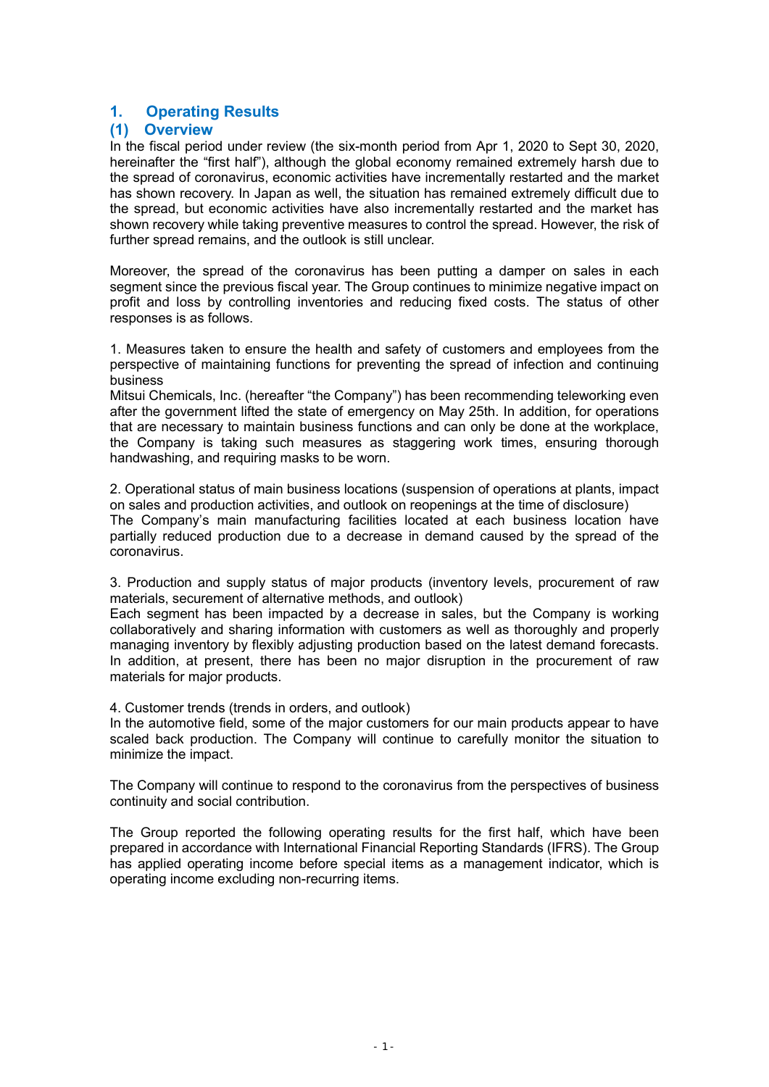# 1. Operating Results

## (1) Overview

In the fiscal period under review (the six-month period from Apr 1, 2020 to Sept 30, 2020, hereinafter the "first half"), although the global economy remained extremely harsh due to the spread of coronavirus, economic activities have incrementally restarted and the market has shown recovery. In Japan as well, the situation has remained extremely difficult due to the spread, but economic activities have also incrementally restarted and the market has shown recovery while taking preventive measures to control the spread. However, the risk of further spread remains, and the outlook is still unclear.

Moreover, the spread of the coronavirus has been putting a damper on sales in each segment since the previous fiscal year. The Group continues to minimize negative impact on profit and loss by controlling inventories and reducing fixed costs. The status of other responses is as follows.

1. Measures taken to ensure the health and safety of customers and employees from the perspective of maintaining functions for preventing the spread of infection and continuing business

Mitsui Chemicals, Inc. (hereafter "the Company") has been recommending teleworking even after the government lifted the state of emergency on May 25th. In addition, for operations that are necessary to maintain business functions and can only be done at the workplace, the Company is taking such measures as staggering work times, ensuring thorough handwashing, and requiring masks to be worn.

2. Operational status of main business locations (suspension of operations at plants, impact on sales and production activities, and outlook on reopenings at the time of disclosure) The Company's main manufacturing facilities located at each business location have partially reduced production due to a decrease in demand caused by the spread of the coronavirus.

3. Production and supply status of major products (inventory levels, procurement of raw materials, securement of alternative methods, and outlook)

Each segment has been impacted by a decrease in sales, but the Company is working collaboratively and sharing information with customers as well as thoroughly and properly managing inventory by flexibly adjusting production based on the latest demand forecasts. In addition, at present, there has been no major disruption in the procurement of raw materials for major products.

4. Customer trends (trends in orders, and outlook)

In the automotive field, some of the major customers for our main products appear to have scaled back production. The Company will continue to carefully monitor the situation to minimize the impact.

The Company will continue to respond to the coronavirus from the perspectives of business continuity and social contribution.

The Group reported the following operating results for the first half, which have been prepared in accordance with International Financial Reporting Standards (IFRS). The Group has applied operating income before special items as a management indicator, which is operating income excluding non-recurring items.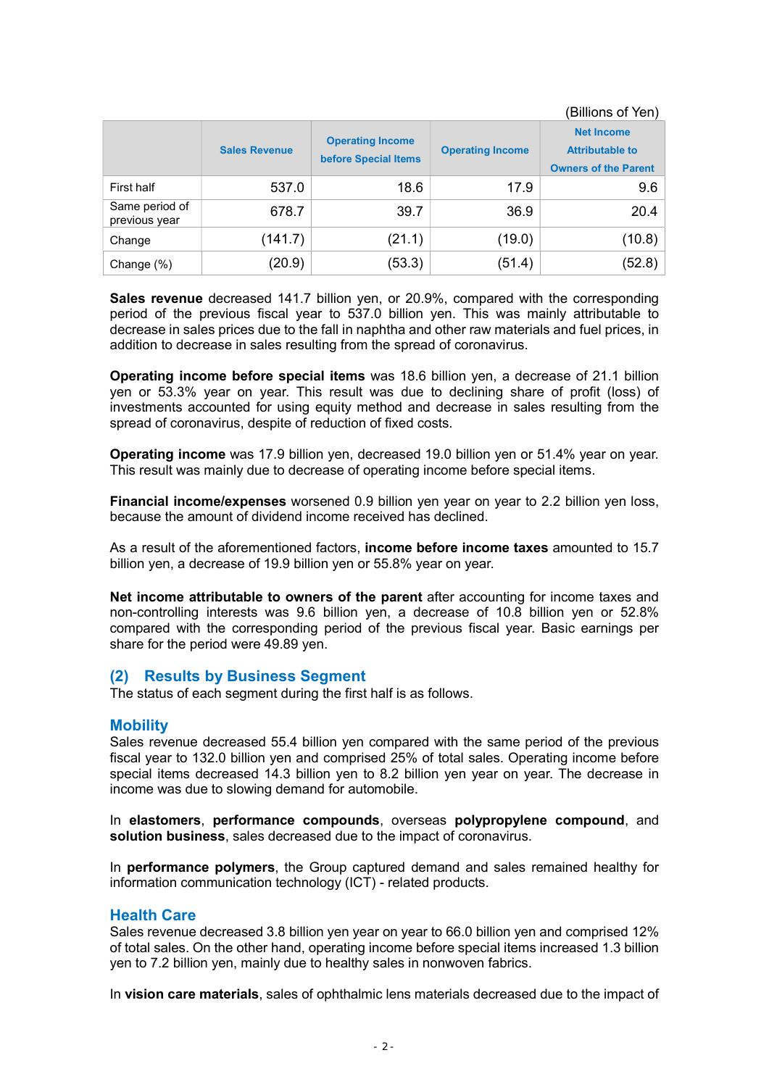(Billions of Yen)

|                                 | <b>Sales Revenue</b> | <b>Operating Income</b><br>before Special Items | <b>Operating Income</b> | <b>Net Income</b><br><b>Attributable to</b><br><b>Owners of the Parent</b> |  |
|---------------------------------|----------------------|-------------------------------------------------|-------------------------|----------------------------------------------------------------------------|--|
| First half                      | 537.0                | 18.6                                            | 17.9                    | 9.6                                                                        |  |
| Same period of<br>previous year | 678.7                | 39.7                                            | 36.9                    | 20.4                                                                       |  |
| Change                          | (141.7)              | (21.1)                                          | (19.0)                  | (10.8)                                                                     |  |
| Change (%)                      | (20.9)               | (53.3)                                          | (51.4)                  | (52.8)                                                                     |  |

Sales revenue decreased 141.7 billion yen, or 20.9%, compared with the corresponding period of the previous fiscal year to 537.0 billion yen. This was mainly attributable to decrease in sales prices due to the fall in naphtha and other raw materials and fuel prices, in addition to decrease in sales resulting from the spread of coronavirus.

Operating income before special items was 18.6 billion yen, a decrease of 21.1 billion yen or 53.3% year on year. This result was due to declining share of profit (loss) of investments accounted for using equity method and decrease in sales resulting from the spread of coronavirus, despite of reduction of fixed costs.

Operating income was 17.9 billion yen, decreased 19.0 billion yen or 51.4% year on year. This result was mainly due to decrease of operating income before special items.

Financial income/expenses worsened 0.9 billion yen year on year to 2.2 billion yen loss, because the amount of dividend income received has declined.

As a result of the aforementioned factors, income before income taxes amounted to 15.7 billion yen, a decrease of 19.9 billion yen or 55.8% year on year.

Net income attributable to owners of the parent after accounting for income taxes and non-controlling interests was 9.6 billion yen, a decrease of 10.8 billion yen or 52.8% compared with the corresponding period of the previous fiscal year. Basic earnings per share for the period were 49.89 yen.

## (2) Results by Business Segment

The status of each segment during the first half is as follows.

#### **Mobility**

Sales revenue decreased 55.4 billion yen compared with the same period of the previous fiscal year to 132.0 billion yen and comprised 25% of total sales. Operating income before special items decreased 14.3 billion yen to 8.2 billion yen year on year. The decrease in income was due to slowing demand for automobile.

In elastomers, performance compounds, overseas polypropylene compound, and solution business, sales decreased due to the impact of coronavirus.

In performance polymers, the Group captured demand and sales remained healthy for information communication technology (ICT) - related products.

#### Health Care

Sales revenue decreased 3.8 billion yen year on year to 66.0 billion yen and comprised 12% of total sales. On the other hand, operating income before special items increased 1.3 billion yen to 7.2 billion yen, mainly due to healthy sales in nonwoven fabrics.

In vision care materials, sales of ophthalmic lens materials decreased due to the impact of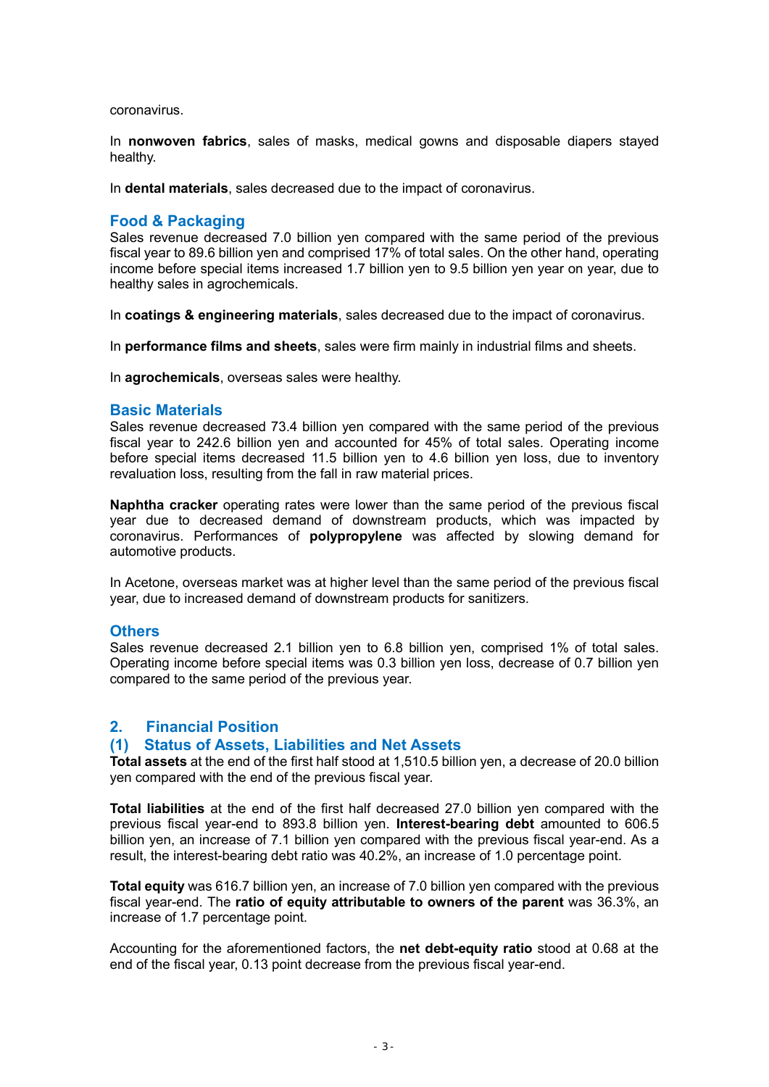coronavirus.

In nonwoven fabrics, sales of masks, medical gowns and disposable diapers stayed healthy.

In dental materials, sales decreased due to the impact of coronavirus.

#### Food & Packaging

Sales revenue decreased 7.0 billion yen compared with the same period of the previous fiscal year to 89.6 billion yen and comprised 17% of total sales. On the other hand, operating income before special items increased 1.7 billion yen to 9.5 billion yen year on year, due to healthy sales in agrochemicals.

In coatings & engineering materials, sales decreased due to the impact of coronavirus.

In performance films and sheets, sales were firm mainly in industrial films and sheets.

In **agrochemicals**, overseas sales were healthy.

#### Basic Materials

Sales revenue decreased 73.4 billion yen compared with the same period of the previous fiscal year to 242.6 billion yen and accounted for 45% of total sales. Operating income before special items decreased 11.5 billion yen to 4.6 billion yen loss, due to inventory revaluation loss, resulting from the fall in raw material prices.

Naphtha cracker operating rates were lower than the same period of the previous fiscal year due to decreased demand of downstream products, which was impacted by coronavirus. Performances of polypropylene was affected by slowing demand for automotive products.

In Acetone, overseas market was at higher level than the same period of the previous fiscal year, due to increased demand of downstream products for sanitizers.

#### **Others**

Sales revenue decreased 2.1 billion yen to 6.8 billion yen, comprised 1% of total sales. Operating income before special items was 0.3 billion yen loss, decrease of 0.7 billion yen compared to the same period of the previous year.

## 2. Financial Position

### (1) Status of Assets, Liabilities and Net Assets

Total assets at the end of the first half stood at 1,510.5 billion yen, a decrease of 20.0 billion yen compared with the end of the previous fiscal year.

Total liabilities at the end of the first half decreased 27.0 billion yen compared with the previous fiscal year-end to 893.8 billion yen. Interest-bearing debt amounted to 606.5 billion yen, an increase of 7.1 billion yen compared with the previous fiscal year-end. As a result, the interest-bearing debt ratio was 40.2%, an increase of 1.0 percentage point.

Total equity was 616.7 billion yen, an increase of 7.0 billion yen compared with the previous fiscal year-end. The ratio of equity attributable to owners of the parent was 36.3%, an increase of 1.7 percentage point.

Accounting for the aforementioned factors, the net debt-equity ratio stood at 0.68 at the end of the fiscal year, 0.13 point decrease from the previous fiscal year-end.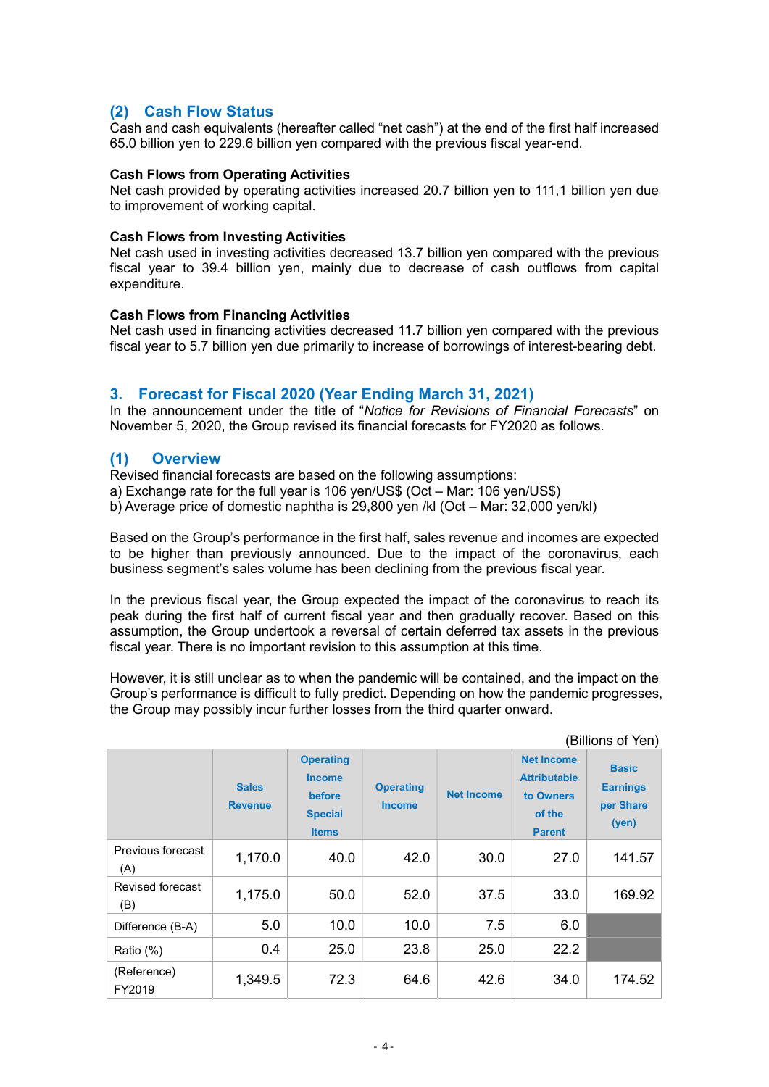# (2) Cash Flow Status

Cash and cash equivalents (hereafter called "net cash") at the end of the first half increased 65.0 billion yen to 229.6 billion yen compared with the previous fiscal year-end.

#### Cash Flows from Operating Activities

Net cash provided by operating activities increased 20.7 billion yen to 111,1 billion yen due to improvement of working capital.

#### Cash Flows from Investing Activities

Net cash used in investing activities decreased 13.7 billion yen compared with the previous fiscal year to 39.4 billion yen, mainly due to decrease of cash outflows from capital expenditure.

#### Cash Flows from Financing Activities

Net cash used in financing activities decreased 11.7 billion yen compared with the previous fiscal year to 5.7 billion yen due primarily to increase of borrowings of interest-bearing debt.

## 3. Forecast for Fiscal 2020 (Year Ending March 31, 2021)

In the announcement under the title of "Notice for Revisions of Financial Forecasts" on November 5, 2020, the Group revised its financial forecasts for FY2020 as follows.

# (1) Overview

Revised financial forecasts are based on the following assumptions:

a) Exchange rate for the full year is 106 yen/US\$ (Oct – Mar: 106 yen/US\$)

b) Average price of domestic naphtha is 29,800 yen /kl (Oct – Mar: 32,000 yen/kl)

Based on the Group's performance in the first half, sales revenue and incomes are expected to be higher than previously announced. Due to the impact of the coronavirus, each business segment's sales volume has been declining from the previous fiscal year.

In the previous fiscal year, the Group expected the impact of the coronavirus to reach its peak during the first half of current fiscal year and then gradually recover. Based on this assumption, the Group undertook a reversal of certain deferred tax assets in the previous fiscal year. There is no important revision to this assumption at this time.

However, it is still unclear as to when the pandemic will be contained, and the impact on the Group's performance is difficult to fully predict. Depending on how the pandemic progresses, the Group may possibly incur further losses from the third quarter onward.

|                          | (Billions of Yen)              |                                                                               |                                   |                   |                                                                                  |                                                       |  |  |  |  |
|--------------------------|--------------------------------|-------------------------------------------------------------------------------|-----------------------------------|-------------------|----------------------------------------------------------------------------------|-------------------------------------------------------|--|--|--|--|
|                          | <b>Sales</b><br><b>Revenue</b> | <b>Operating</b><br><b>Income</b><br>before<br><b>Special</b><br><b>Items</b> | <b>Operating</b><br><b>Income</b> | <b>Net Income</b> | <b>Net Income</b><br><b>Attributable</b><br>to Owners<br>of the<br><b>Parent</b> | <b>Basic</b><br><b>Earnings</b><br>per Share<br>(yen) |  |  |  |  |
| Previous forecast<br>(A) | 1,170.0                        | 40.0                                                                          | 42.0                              | 30.0              | 27.0                                                                             | 141.57                                                |  |  |  |  |
| Revised forecast<br>(B)  | 1,175.0                        | 50.0                                                                          | 52.0                              | 37.5              | 33.0                                                                             | 169.92                                                |  |  |  |  |
| Difference (B-A)         | 5.0                            | 10.0                                                                          | 10.0                              | 7.5               | 6.0                                                                              |                                                       |  |  |  |  |
| Ratio (%)                | 0.4                            | 25.0                                                                          | 23.8                              | 25.0              | 22.2                                                                             |                                                       |  |  |  |  |
| (Reference)<br>FY2019    | 1,349.5                        | 72.3                                                                          | 64.6                              | 42.6              | 34.0                                                                             | 174.52                                                |  |  |  |  |